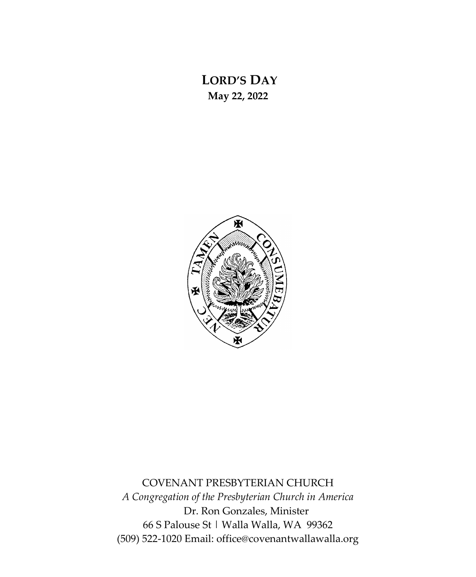## **LORD'S DAY May 22, 2022**



COVENANT PRESBYTERIAN CHURCH *A Congregation of the Presbyterian Church in America* Dr. Ron Gonzales, Minister 66 S Palouse St | Walla Walla, WA 99362 (509) 522-1020 Email: office@covenantwallawalla.org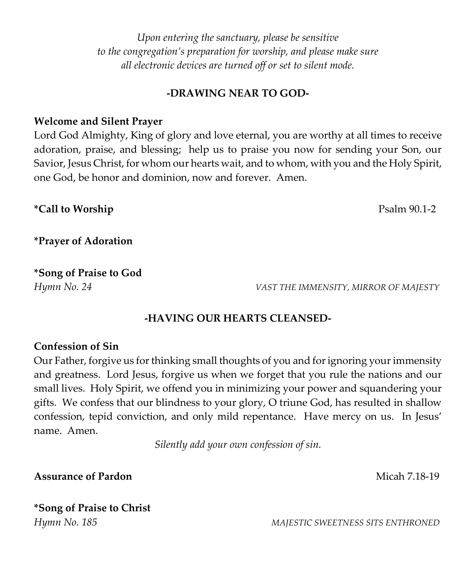*Upon entering the sanctuary, please be sensitive to the congregation's preparation for worship, and please make sure all electronic devices are turned off or set to silent mode.*

#### **-DRAWING NEAR TO GOD-**

#### **Welcome and Silent Prayer**

Lord God Almighty, King of glory and love eternal, you are worthy at all times to receive adoration, praise, and blessing; help us to praise you now for sending your Son, our Savior, Jesus Christ, for whom our hearts wait, and to whom, with you and the Holy Spirit, one God, be honor and dominion, now and forever. Amen.

**\*Call to Worship** Psalm 90.1-2

**\*Prayer of Adoration**

**\*Song of Praise to God**

*Hymn No. 24 VAST THE IMMENSITY, MIRROR OF MAJESTY*

#### **-HAVING OUR HEARTS CLEANSED-**

#### **Confession of Sin**

Our Father, forgive us for thinking small thoughts of you and for ignoring your immensity and greatness. Lord Jesus, forgive us when we forget that you rule the nations and our small lives. Holy Spirit, we offend you in minimizing your power and squandering your gifts. We confess that our blindness to your glory, O triune God, has resulted in shallow confession, tepid conviction, and only mild repentance. Have mercy on us. In Jesus' name. Amen.

*Silently add your own confession of sin.*

**Assurance of Pardon Micah 7.18-19** 

# **\*Song of Praise to Christ**

*Hymn No. 185 MAJESTIC SWEETNESS SITS ENTHRONED*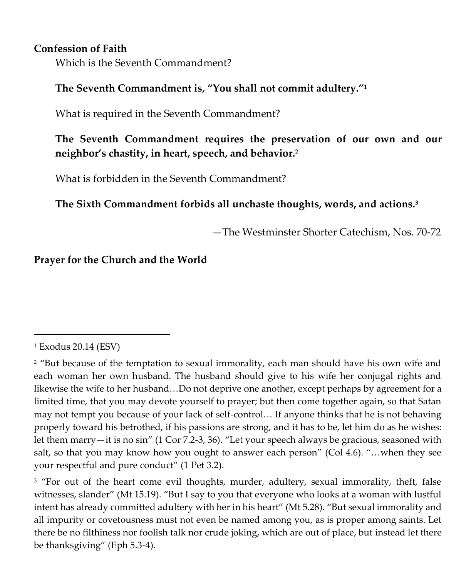#### **Confession of Faith**

Which is the Seventh Commandment?

#### **The Seventh Commandment is, "You shall not commit adultery."<sup>1</sup>**

What is required in the Seventh Commandment?

### **The Seventh Commandment requires the preservation of our own and our neighbor's chastity, in heart, speech, and behavior.<sup>2</sup>**

What is forbidden in the Seventh Commandment?

### **The Sixth Commandment forbids all unchaste thoughts, words, and actions.<sup>3</sup>**

—The Westminster Shorter Catechism, Nos. 70-72

#### **Prayer for the Church and the World**

<sup>1</sup> Exodus 20.14 (ESV)

<sup>&</sup>lt;sup>2</sup> "But because of the temptation to sexual immorality, each man should have his own wife and each woman her own husband. The husband should give to his wife her conjugal rights and likewise the wife to her husband…Do not deprive one another, except perhaps by agreement for a limited time, that you may devote yourself to prayer; but then come together again, so that Satan may not tempt you because of your lack of self-control… If anyone thinks that he is not behaving properly toward his betrothed, if his passions are strong, and it has to be, let him do as he wishes: let them marry—it is no sin" (1 Cor 7.2-3, 36). "Let your speech always be gracious, seasoned with salt, so that you may know how you ought to answer each person" (Col 4.6). "…when they see your respectful and pure conduct" (1 Pet 3.2).

<sup>&</sup>lt;sup>3</sup> "For out of the heart come evil thoughts, murder, adultery, sexual immorality, theft, false witnesses, slander" (Mt 15.19). "But I say to you that everyone who looks at a woman with lustful intent has already committed adultery with her in his heart" (Mt 5.28). "But sexual immorality and all impurity or covetousness must not even be named among you, as is proper among saints. Let there be no filthiness nor foolish talk nor crude joking, which are out of place, but instead let there be thanksgiving" (Eph 5.3-4).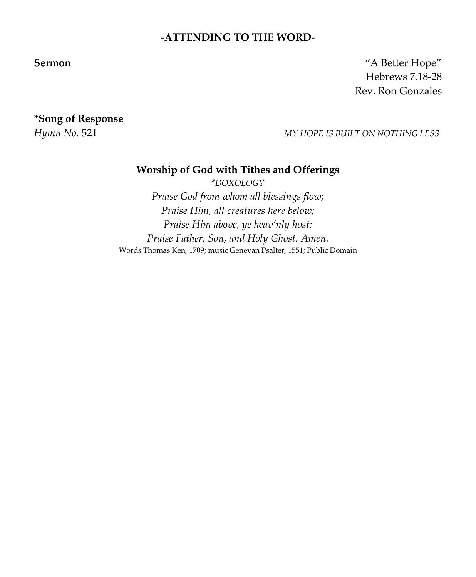#### **-ATTENDING TO THE WORD-**

**Sermon** "A Better Hope" Hebrews 7.18-28 Rev. Ron Gonzales

**\*Song of Response** 

*Hymn No.* 521 *MY HOPE IS BUILT ON NOTHING LESS*

#### **Worship of God with Tithes and Offerings**

*\*DOXOLOGY*

*Praise God from whom all blessings flow; Praise Him, all creatures here below; Praise Him above, ye heav'nly host; Praise Father, Son, and Holy Ghost. Amen.* Words Thomas Ken, 1709; music Genevan Psalter, 1551; Public Domain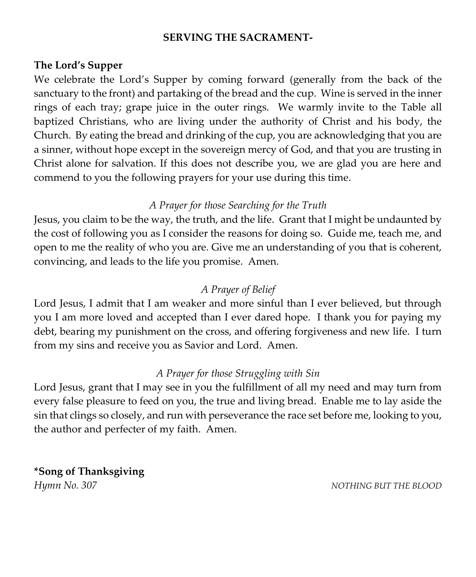#### **SERVING THE SACRAMENT-**

#### **The Lord's Supper**

We celebrate the Lord's Supper by coming forward (generally from the back of the sanctuary to the front) and partaking of the bread and the cup. Wine is served in the inner rings of each tray; grape juice in the outer rings. We warmly invite to the Table all baptized Christians, who are living under the authority of Christ and his body, the Church. By eating the bread and drinking of the cup, you are acknowledging that you are a sinner, without hope except in the sovereign mercy of God, and that you are trusting in Christ alone for salvation. If this does not describe you, we are glad you are here and commend to you the following prayers for your use during this time.

#### *A Prayer for those Searching for the Truth*

Jesus, you claim to be the way, the truth, and the life. Grant that I might be undaunted by the cost of following you as I consider the reasons for doing so. Guide me, teach me, and open to me the reality of who you are. Give me an understanding of you that is coherent, convincing, and leads to the life you promise. Amen.

#### *A Prayer of Belief*

Lord Jesus, I admit that I am weaker and more sinful than I ever believed, but through you I am more loved and accepted than I ever dared hope. I thank you for paying my debt, bearing my punishment on the cross, and offering forgiveness and new life. I turn from my sins and receive you as Savior and Lord. Amen.

#### *A Prayer for those Struggling with Sin*

Lord Jesus, grant that I may see in you the fulfillment of all my need and may turn from every false pleasure to feed on you, the true and living bread. Enable me to lay aside the sin that clings so closely, and run with perseverance the race set before me, looking to you, the author and perfecter of my faith. Amen.

**\*Song of Thanksgiving** *Hymn No. 307 NOTHING BUT THE BLOOD*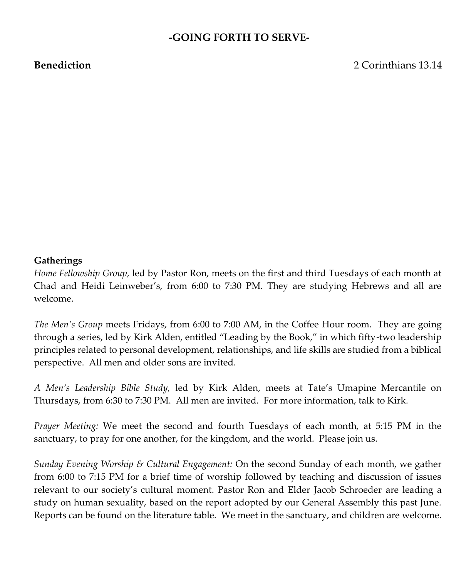#### **-GOING FORTH TO SERVE-**

**Benediction** 2 Corinthians 13.14

#### **Gatherings**

*Home Fellowship Group,* led by Pastor Ron, meets on the first and third Tuesdays of each month at Chad and Heidi Leinweber's, from 6:00 to 7:30 PM. They are studying Hebrews and all are welcome.

*The Men's Group* meets Fridays, from 6:00 to 7:00 AM, in the Coffee Hour room. They are going through a series, led by Kirk Alden, entitled "Leading by the Book," in which fifty-two leadership principles related to personal development, relationships, and life skills are studied from a biblical perspective. All men and older sons are invited.

*A Men's Leadership Bible Study,* led by Kirk Alden, meets at Tate's Umapine Mercantile on Thursdays, from 6:30 to 7:30 PM. All men are invited. For more information, talk to Kirk.

*Prayer Meeting:* We meet the second and fourth Tuesdays of each month, at 5:15 PM in the sanctuary, to pray for one another, for the kingdom, and the world. Please join us.

*Sunday Evening Worship & Cultural Engagement:* On the second Sunday of each month, we gather from 6:00 to 7:15 PM for a brief time of worship followed by teaching and discussion of issues relevant to our society's cultural moment. Pastor Ron and Elder Jacob Schroeder are leading a study on human sexuality, based on the report adopted by our General Assembly this past June. Reports can be found on the literature table. We meet in the sanctuary, and children are welcome.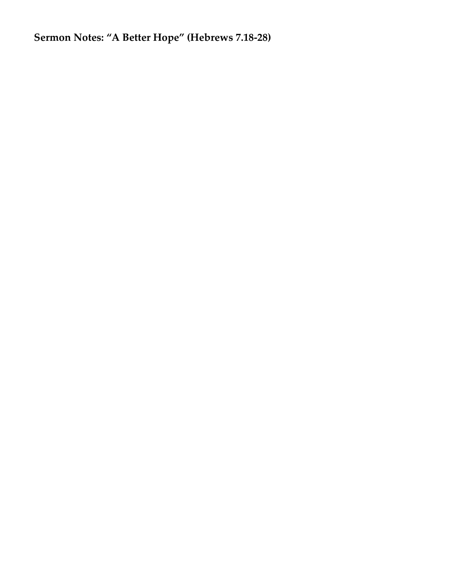**Sermon Notes: "A Better Hope" (Hebrews 7.18-28)**